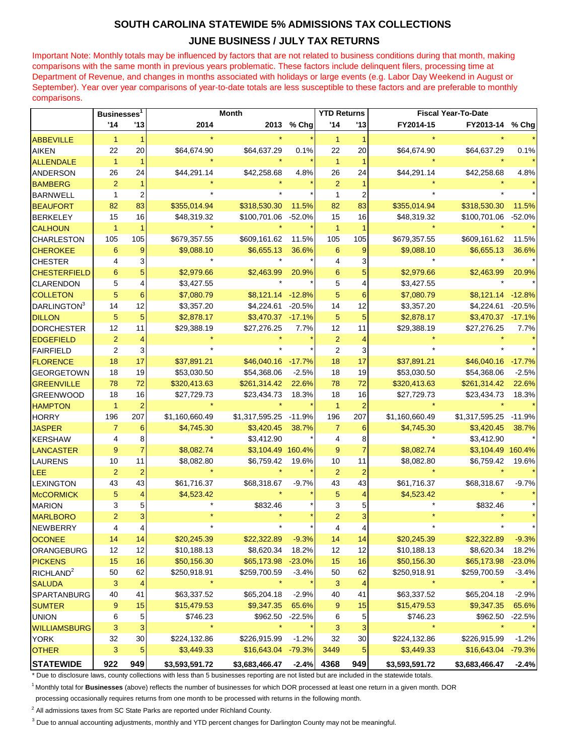## **SOUTH CAROLINA STATEWIDE 5% ADMISSIONS TAX COLLECTIONS**

## **JUNE BUSINESS / JULY TAX RETURNS**

Important Note: Monthly totals may be influenced by factors that are not related to business conditions during that month, making comparisons with the same month in previous years problematic. These factors include delinquent filers, processing time at Department of Revenue, and changes in months associated with holidays or large events (e.g. Labor Day Weekend in August or September). Year over year comparisons of year-to-date totals are less susceptible to these factors and are preferable to monthly comparisons.

|                         | Businesses <sup>1</sup> |                         | Month          |                    |          | <b>YTD Returns</b> |                | <b>Fiscal Year-To-Date</b> |                   |          |
|-------------------------|-------------------------|-------------------------|----------------|--------------------|----------|--------------------|----------------|----------------------------|-------------------|----------|
|                         | '14                     | '13                     | 2014           | 2013               | % Chg    | '14                | '13            | FY2014-15                  | FY2013-14         | % Chg    |
| <b>ABBEVILLE</b>        | $\mathbf{1}$            | $\mathbf{1}$            |                |                    |          | $\mathbf{1}$       | 1              |                            |                   |          |
| <b>AIKEN</b>            | 22                      | 20                      | \$64,674.90    | \$64,637.29        | 0.1%     | 22                 | 20             | \$64,674.90                | \$64,637.29       | 0.1%     |
| <b>ALLENDALE</b>        | $\overline{1}$          | $\blacktriangleleft$    |                |                    |          | $\mathbf{1}$       |                |                            |                   |          |
| <b>ANDERSON</b>         | 26                      | 24                      | \$44,291.14    | \$42,258.68        | 4.8%     | 26                 | 24             | \$44,291.14                | \$42,258.68       | 4.8%     |
| <b>BAMBERG</b>          | $\overline{2}$          |                         |                |                    |          | $\overline{2}$     |                |                            |                   |          |
| <b>BARNWELL</b>         | $\mathbf{1}$            | $\overline{\mathbf{c}}$ |                |                    |          | $\mathbf{1}$       | $\overline{2}$ |                            |                   |          |
| <b>BEAUFORT</b>         | 82                      | 83                      | \$355,014.94   | \$318,530.30       | 11.5%    | 82                 | 83             | \$355,014.94               | \$318,530.30      | 11.5%    |
| <b>BERKELEY</b>         | 15                      | 16                      | \$48,319.32    | \$100,701.06       | $-52.0%$ | 15                 | 16             | \$48,319.32                | \$100,701.06      | $-52.0%$ |
| <b>CALHOUN</b>          | $\mathbf{1}$            | 1                       |                |                    |          | $\mathbf{1}$       | $\overline{1}$ |                            |                   |          |
| <b>CHARLESTON</b>       | 105                     | 105                     | \$679,357.55   | \$609,161.62       | 11.5%    | 105                | 105            | \$679,357.55               | \$609,161.62      | 11.5%    |
| <b>CHEROKEE</b>         | 6                       | 9                       | \$9,088.10     | \$6,655.13         | 36.6%    | 6                  | 9              | \$9,088.10                 | \$6,655.13        | 36.6%    |
| <b>CHESTER</b>          | 4                       | 3                       |                |                    |          | 4                  | 3              |                            |                   |          |
| <b>CHESTERFIELD</b>     | 6                       | 5                       | \$2,979.66     | \$2,463.99         | 20.9%    | $6\phantom{1}$     | 5              | \$2,979.66                 | \$2,463.99        | 20.9%    |
| <b>CLARENDON</b>        | 5                       | 4                       | \$3,427.55     |                    |          | 5                  | $\overline{4}$ | \$3,427.55                 |                   |          |
| <b>COLLETON</b>         | 5                       | 6                       | \$7,080.79     | \$8,121.14 -12.8%  |          | 5                  | 6              | \$7,080.79                 | \$8,121.14        | $-12.8%$ |
| DARLINGTON <sup>3</sup> | 14                      | 12                      | \$3,357.20     | \$4,224.61 -20.5%  |          | 14                 | 12             | \$3,357.20                 | \$4,224.61        | $-20.5%$ |
| <b>DILLON</b>           | 5                       | 5                       | \$2,878.17     | \$3,470.37 -17.1%  |          | 5                  | 5              | \$2,878.17                 | \$3,470.37 -17.1% |          |
| <b>DORCHESTER</b>       | 12                      | 11                      | \$29,388.19    | \$27,276.25        | 7.7%     | 12                 | 11             | \$29,388.19                | \$27,276.25       | 7.7%     |
| <b>EDGEFIELD</b>        | $\overline{2}$          | 4                       |                |                    |          | $\overline{2}$     | 4              |                            |                   |          |
| <b>FAIRFIELD</b>        | 2                       | 3                       |                |                    |          | $\overline{2}$     | 3              |                            |                   |          |
| <b>FLORENCE</b>         | 18                      | 17                      | \$37,891.21    | \$46,040.16 -17.7% |          | 18                 | 17             | \$37,891.21                | \$46,040.16       | $-17.7%$ |
| <b>GEORGETOWN</b>       | 18                      | 19                      | \$53,030.50    | \$54,368.06        | $-2.5%$  | 18                 | 19             | \$53,030.50                | \$54,368.06       | $-2.5%$  |
| <b>GREENVILLE</b>       | 78                      | 72                      | \$320,413.63   | \$261,314.42       | 22.6%    | 78                 | 72             | \$320,413.63               | \$261,314.42      | 22.6%    |
| <b>GREENWOOD</b>        | 18                      | 16                      | \$27,729.73    | \$23,434.73        | 18.3%    | 18                 | 16             | \$27,729.73                | \$23,434.73       | 18.3%    |
| <b>HAMPTON</b>          | $\mathbf{1}$            | $\overline{2}$          |                |                    |          | $\mathbf{1}$       | $\overline{2}$ |                            |                   |          |
| <b>HORRY</b>            | 196                     | 207                     | \$1,160,660.49 | \$1,317,595.25     | $-11.9%$ | 196                | 207            | \$1,160,660.49             | \$1,317,595.25    | $-11.9%$ |
| <b>JASPER</b>           | $\overline{7}$          | 6                       | \$4,745.30     | \$3,420.45         | 38.7%    | $\overline{7}$     | 6              | \$4,745.30                 | \$3,420.45        | 38.7%    |
| <b>KERSHAW</b>          | 4                       | 8                       |                | \$3,412.90         |          | 4                  | 8              |                            | \$3,412.90        |          |
| <b>LANCASTER</b>        | 9                       | $\overline{7}$          | \$8,082.74     | \$3,104.49 160.4%  |          | 9                  | $\overline{7}$ | \$8,082.74                 | \$3,104.49 160.4% |          |
| <b>LAURENS</b>          | 10                      | 11                      | \$8,082.80     | \$6,759.42         | 19.6%    | 10                 | 11             | \$8,082.80                 | \$6,759.42        | 19.6%    |
| <b>LEE</b>              | $\overline{2}$          |                         |                |                    |          | $\overline{2}$     |                |                            |                   |          |
| <b>LEXINGTON</b>        | 43                      | 43                      | \$61,716.37    | \$68,318.67        | $-9.7%$  | 43                 | 43             | \$61,716.37                | \$68,318.67       | $-9.7%$  |
| <b>McCORMICK</b>        | 5                       | 4                       | \$4,523.42     |                    |          | 5                  | 4              | \$4,523.42                 |                   |          |
| <b>MARION</b>           | 3                       | 5                       |                | \$832.46           |          | 3                  | 5              |                            | \$832.46          |          |
| <b>MARLBORO</b>         | $\overline{2}$          |                         |                |                    |          | $\overline{2}$     | 3              |                            |                   |          |
| <b>NEWBERRY</b>         | 4                       | 4                       |                |                    |          | 4                  | 4              |                            |                   |          |
| OCONEE                  | 14                      | 14                      | \$20,245.39    | \$22,322.89        | $-9.3%$  | 14                 | 14             | \$20,245.39                | \$22,322.89       | $-9.3%$  |
| ORANGEBURG              | 12                      | 12                      | \$10,188.13    | \$8,620.34         | 18.2%    | 12                 | 12             | \$10,188.13                | \$8,620.34        | 18.2%    |
| <b>PICKENS</b>          | 15                      | 16                      | \$50,156.30    | \$65,173.98        | $-23.0%$ | 15                 | 16             | \$50,156.30                | \$65,173.98       | $-23.0%$ |
| RICHLAND <sup>2</sup>   | 50                      | 62                      | \$250,918.91   | \$259,700.59       | $-3.4%$  | 50                 | 62             | \$250,918.91               | \$259,700.59      | $-3.4%$  |
| <b>SALUDA</b>           | 3                       | 4                       |                |                    |          | 3                  | 4              |                            |                   |          |
| <b>SPARTANBURG</b>      | 40                      | 41                      | \$63,337.52    | \$65,204.18        | $-2.9%$  | 40                 | 41             | \$63,337.52                | \$65,204.18       | $-2.9%$  |
| <b>SUMTER</b>           | 9                       | 15                      | \$15,479.53    | \$9,347.35         | 65.6%    | 9                  | 15             | \$15,479.53                | \$9,347.35        | 65.6%    |
| <b>UNION</b>            | 6                       | 5                       | \$746.23       | \$962.50 -22.5%    |          | 6                  | 5              | \$746.23                   | \$962.50          | $-22.5%$ |
| <b>WILLIAMSBURG</b>     | 3                       | 3                       |                |                    |          | 3                  | 3              |                            |                   |          |
| <b>YORK</b>             | 32                      | 30                      | \$224,132.86   | \$226,915.99       | $-1.2%$  | 32                 | 30             | \$224,132.86               | \$226,915.99      | $-1.2%$  |
| <b>OTHER</b>            | 3                       | 5                       | \$3,449.33     | \$16,643.04        | $-79.3%$ | 3449               | 5              | \$3,449.33                 | \$16,643.04       | $-79.3%$ |
| <b>STATEWIDE</b>        | 922                     | 949                     | \$3,593,591.72 | \$3,683,466.47     | $-2.4%$  | 4368               | 949            | \$3,593,591.72             | \$3,683,466.47    | $-2.4%$  |

\* Due to disclosure laws, county collections with less than 5 businesses reporting are not listed but are included in the statewide totals.

<sup>1</sup>Monthly total for **Businesses** (above) reflects the number of businesses for which DOR processed at least one return in a given month. DOR

processing occasionally requires returns from one month to be processed with returns in the following month.

 $2$  All admissions taxes from SC State Parks are reported under Richland County.

<sup>3</sup> Due to annual accounting adjustments, monthly and YTD percent changes for Darlington County may not be meaningful.